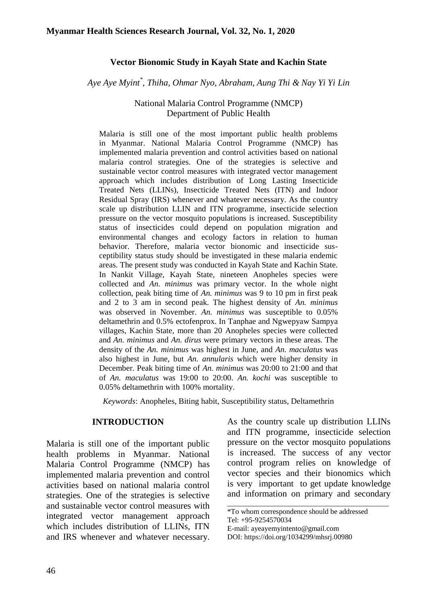## **Vector Bionomic Study in Kayah State and Kachin State**

*Aye Aye Myint\* , Thiha, Ohmar Nyo, Abraham, Aung Thi & Nay Yi Yi Lin*

#### National Malaria Control Programme (NMCP) Department of Public Health

Malaria is still one of the most important public health problems in Myanmar. National Malaria Control Programme (NMCP) has implemented malaria prevention and control activities based on national malaria control strategies. One of the strategies is selective and sustainable vector control measures with integrated vector management approach which includes distribution of Long Lasting Insecticide Treated Nets (LLINs), Insecticide Treated Nets (ITN) and Indoor Residual Spray (IRS) whenever and whatever necessary. As the country scale up distribution LLIN and ITN programme, insecticide selection pressure on the vector mosquito populations is increased. Susceptibility status of insecticides could depend on population migration and environmental changes and ecology factors in relation to human behavior. Therefore, malaria vector bionomic and insecticide susceptibility status study should be investigated in these malaria endemic areas. The present study was conducted in Kayah State and Kachin State. In Nankit Village, Kayah State, nineteen Anopheles species were collected and *An. minimus* was primary vector. In the whole night collection, peak biting time of *An. minimus* was 9 to 10 pm in first peak and 2 to 3 am in second peak. The highest density of *An. minimus* was observed in November. *An. minimus* was susceptible to 0.05% deltamethrin and 0.5% ectofenprox. In Tanphae and Ngwepyaw Sampya villages, Kachin State, more than 20 Anopheles species were collected and *An. minimus* and *An. dirus* were primary vectors in these areas. The density of the *An. minimus* was highest in June, and *An. maculatus* was also highest in June, but *An. annularis* which were higher density in December. Peak biting time of *An. minimus* was 20:00 to 21:00 and that of *An. maculatus* was 19:00 to 20:00. *An. kochi* was susceptible to 0.05% deltamethrin with 100% mortality.

*Keywords*: Anopheles, Biting habit, Susceptibility status, Deltamethrin

#### **INTRODUCTION**

Malaria is still one of the important public health problems in Myanmar. National Malaria Control Programme (NMCP) has implemented malaria prevention and control activities based on national malaria control strategies. One of the strategies is selective and sustainable vector control measures with integrated vector management approach which includes distribution of LLINs, ITN and IRS whenever and whatever necessary. As the country scale up distribution LLINs and ITN programme, insecticide selection pressure on the vector mosquito populations is increased. The success of any vector control program relies on knowledge of vector species and their bionomics which is very important to get update knowledge and information on primary and secondary

\_\_\_\_\_\_\_\_\_\_\_\_\_\_\_\_\_\_\_\_\_\_\_\_\_\_\_\_\_\_\_\_\_\_\_\_\_\_\_\_\_\_\_\_

<sup>\*</sup>To whom correspondence should be addressed Tel: +95-9254570034 E-mail: ayeayemyintento@gmail.com

DOI: [https://doi.org/1034299/mhsrj.0098](https://doi.org/1034299/mhsrj.009)0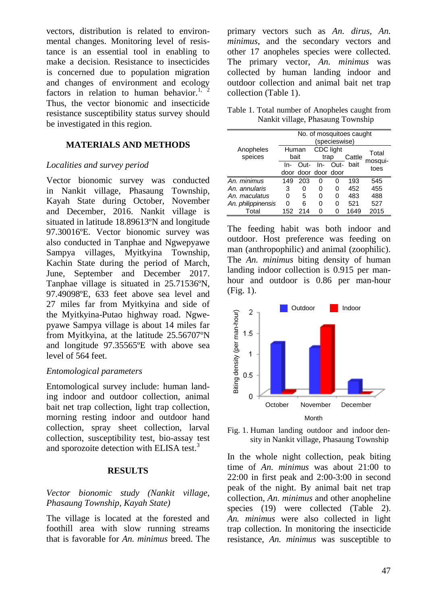vectors, distribution is related to environmental changes. Monitoring level of resistance is an essential tool in enabling to make a decision. Resistance to insecticides is concerned due to population migration and changes of environment and ecology factors in relation to human behavior.<sup>1, 2</sup> Thus, the vector bionomic and insecticide resistance susceptibility status survey should be investigated in this region.

# **MATERIALS AND METHODS**

#### *Localities and survey period*

Vector bionomic survey was conducted in Nankit village, Phasaung Township, Kayah State during October, November and December, 2016. Nankit village is situated in latitude 18.89613ºN and longitude 97.30016ºE. Vector bionomic survey was also conducted in Tanphae and Ngwepyawe Sampya villages, Myitkyina Township, Kachin State during the period of March, June, September and December 2017. Tanphae village is situated in 25.71536ºN, 97.49098ºE, 633 feet above sea level and 27 miles far from Myitkyina and side of the Myitkyina-Putao highway road. Ngwepyawe Sampya village is about 14 miles far from Myitkyina, at the latitude 25.56707ºN and longitude 97.35565ºE with above sea level of 564 feet.

# *Entomological parameters*

Entomological survey include: human land-Entomological survey include: human land-<br>ing indoor and outdoor collection, animal bait net trap collection, light trap collection, morning resting indoor and outdoor hand collection, spray sheet collection, larval collection, susceptibility test, bio-assay test and sporozoite detection with ELISA test.<sup>3</sup>

#### **RESULTS**

## *Vector bionomic study (Nankit village, Phasaung Township, Kayah State)*

The village is located at the forested and foothill area with slow running streams that is favorable for *An. minimus* breed. The primary vectors such as *An. dirus, An. minimus*, and the secondary vectors and other 17 anopheles species were collected. The primary vector, *An. minimus* was collected by human landing indoor and outdoor collection and animal bait net trap collection (Table 1).

Table 1. Total number of Anopheles caught from Nankit village, Phasaung Township

|                      | No. of mosquitoes caught<br>(specieswise) |      |                     |   |           |                 |
|----------------------|-------------------------------------------|------|---------------------|---|-----------|-----------------|
| Anopheles<br>speices | Human<br>bait                             |      | CDC light<br>trap   |   | Cattle    | Total           |
|                      | In-                                       | Out- | In-                 |   | Out- bait | mosqui-<br>toes |
|                      |                                           |      | door door door door |   |           |                 |
| An. minimus          | 149                                       | 203  | $\Omega$            | 0 | 193       | 545             |
| An. annularis        | 3                                         | ი    | 0                   | 0 | 452       | 455             |
| An. maculatus        | 0                                         | 5    | 0                   | 0 | 483       | 488             |
| An. philippinensis   | O                                         | 6    | 0                   | 0 | 521       | 527             |
| Total                | 152                                       | 214  | n                   | 0 | 1649      | 2015            |

The feeding habit was both indoor and outdoor. Host preference was feeding on man (anthropophilic) and animal (zoophilic). The *An. minimus* biting density of human landing indoor collection is 0.915 per manhour and outdoor is  $0.86$  per man-hour (Fig. 1).



Fig. 1. Human landing outdoor and indoor density in Nankit village, Phasaung Township

In the whole night collection, peak biting time of *An. minimus* was about 21:00 to 22:00 in first peak and 2:00-3:00 in second peak of the night. By animal bait net trap collection, *An. minimus* and other anopheline species (19) were collected (Table 2). *An. minimus* were also collected in light trap collection. In monitoring the insecticide resistance, *An. minimus* was susceptible to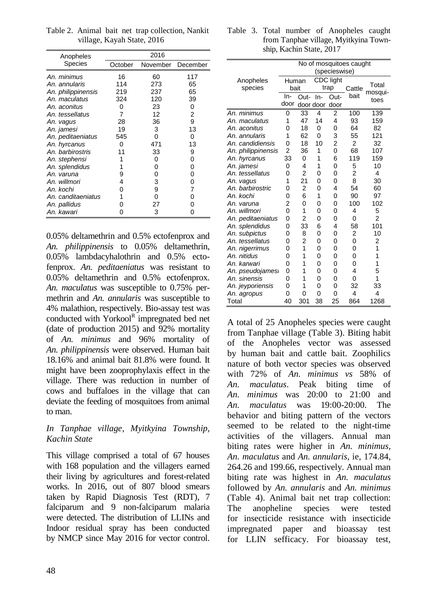| Anopheles          | 2016    |     |                   |  |  |  |
|--------------------|---------|-----|-------------------|--|--|--|
| Species            | October |     | November December |  |  |  |
| An. minimus        | 16      | 60  | 117               |  |  |  |
| An. annularis      | 114     | 273 | 65                |  |  |  |
| An. philippinensis | 219     | 237 | 65                |  |  |  |
| An. maculatus      | 324     | 120 | 39                |  |  |  |
| An. aconitus       | 0       | 23  | 0                 |  |  |  |
| An. tessellatus    | 7       | 12  | 2                 |  |  |  |
| An. vagus          | 28      | 36  | 9                 |  |  |  |
| An. jamesi         | 19      | 3   | 13                |  |  |  |
| An. peditaeniatus  | 545     | 0   | 0                 |  |  |  |
| An. hyrcanus       | 0       | 471 | 13                |  |  |  |
| An. barbirostris   | 11      | 33  | 9                 |  |  |  |
| An. stephensi      | 1       | 0   | ი                 |  |  |  |
| An. splendidus     | 1       | 0   | 0                 |  |  |  |
| An. varuna         | 9       | 0   | 0                 |  |  |  |
| An. willmori       | 4       | 3   | 0                 |  |  |  |
| An. kochi          | Ω       | 9   | 7                 |  |  |  |
| An. canditaeniatus | 1       | 0   | O                 |  |  |  |
| An. pallidus       | O       | 27  |                   |  |  |  |
| An. kawari         | O       | 3   |                   |  |  |  |

Table 2. Animal bait net trap collection, Nankit village, Kayah State, 2016

0.05% deltamethrin and 0.5% ectofenprox and *An. philippinensis* to 0.05% deltamethrin, 0.05% lambdacyhalothrin and 0.5% ectofenprox. *An. peditaeniatus* was resistant to 0.05% deltamethrin and 0.5% ectofenprox. *An. maculatus* was susceptible to 0.75% permethrin and *An. annularis* was susceptible to 4% malathion, respectively. Bio-assay test was conducted with Yorkool<sup>R</sup> impregnated bed net (date of production 2015) and 92% mortality of *An. minimus* and 96% mortality of *An. philippinensis* were observed. Human bait 18.16% and animal bait 81.8% were found. It might have been zooprophylaxis effect in the village. There was reduction in number of cows and buffaloes in the village that can deviate the feeding of mosquitoes from animal to man.

# *In Tanphae village, Myitkyina Township, Kachin State*

This village comprised a total of 67 houses with 168 population and the villagers earned their living by agricultures and forest-related works. In 2016, out of 807 blood smears taken by Rapid Diagnosis Test (RDT), 7 falciparum and 9 non-falciparum malaria were detected. The distribution of LLINs and Indoor residual spray has been conducted by NMCP since May 2016 for vector control.

|  |                          | Table 3. Total number of Anopheles caught |  |
|--|--------------------------|-------------------------------------------|--|
|  |                          | from Tanphae village, Myitkyina Town-     |  |
|  | ship, Kachin State, 2017 |                                           |  |

|                    | No of mosquitoes caught |                |           |                |        |                 |  |
|--------------------|-------------------------|----------------|-----------|----------------|--------|-----------------|--|
|                    | (specieswise)           |                |           |                |        |                 |  |
| Anopheles          | Human                   |                | CDC light |                |        | Total           |  |
| species            | bait                    |                |           | trap           | Cattle | mosqui-<br>toes |  |
|                    | In-                     | Out-           | In-       | Out-           | bait   |                 |  |
|                    | door                    | door door      |           | door           |        |                 |  |
| An. minimus        | 0                       | 33             | 4         | 2              | 100    | 139             |  |
| An. maculatus      | 1                       | 47             | 14        | 4              | 93     | 159             |  |
| An. aconitus       | 0                       | 18             | 0         | 0              | 64     | 82              |  |
| An. annularis      | 1                       | 62             | 0         | 3              | 55     | 121             |  |
| An. candidiensis   | 0                       | 18             | 10        | $\overline{2}$ | 2      | 32              |  |
| An. philippinensis | $\overline{2}$          | 36             | 1         | 0              | 68     | 107             |  |
| An. hyrcanus       | 33                      | 0              | 1         | 6              | 119    | 159             |  |
| An. jamesi         | 0                       | 4              | 1         | 0              | 5      | 10              |  |
| An. tessellatus    | 0                       | 2              | 0         | 0              | 2      | 4               |  |
| An. vagus          | 1                       | 21             | 0         | 0              | 8      | 30              |  |
| An. barbirostric   | 0                       | 2              | 0         | 4              | 54     | 60              |  |
| An. kochi          | 0                       | 6              | 1         | 0              | 90     | 97              |  |
| An. varuna         | $\overline{2}$          | 0              | 0         | 0              | 100    | 102             |  |
| An. willmori       | 0                       | 1              | 0         | 0              | 4      | 5               |  |
| An. peditaeniatus  | 0                       | 2              | 0         | 0              | 0      | 2               |  |
| An. splendidus     | 0                       | 33             | 6         | 4              | 58     | 101             |  |
| An. subpictus      | 0                       | 8              | 0         | 0              | 2      | 10              |  |
| An. tessellatus    | ი                       | $\overline{2}$ | 0         | 0              | 0      | 2               |  |
| An. nigerrimus     | 0                       | 1              | 0         | 0              | 0      | 1               |  |
| An. nitidus        | 0                       | 1              | 0         | 0              | 0      | 1               |  |
| An. karwari        | 0                       | 1              | 0         | 0              | 0      | 1               |  |
| An. pseudojames.   | 0                       | 1              | 0         | 0              | 4      | 5               |  |
| An. sinensis       | 0                       | 1              | 0         | 0              | 0      | 1               |  |
| An. jeyporiensis   | 0                       | 1              | 0         | 0              | 32     | 33              |  |
| An. agropus        | 0                       | 0              | 0         | 0              | 4      | 4               |  |
| Total              | 40                      | 301            | 38        | 25             | 864    | 1268            |  |

A total of 25 Anopheles species were caught from Tanphae village (Table 3). Biting habit of the Anopheles vector was assessed by human bait and cattle bait. Zoophilics nature of both vector species was observed with 72% of *An. minimus vs* 58% of *An. maculatus*. Peak biting time of *An. minimus* was 20:00 to 21:00 and *An. maculatus* was 19:00-20:00. The behavior and biting pattern of the vectors seemed to be related to the night-time activities of the villagers. Annual man biting rates were higher in *An. minimus*, *An. maculatus* and *An. annularis*, ie, 174.84, 264.26 and 199.66, respectively. Annual man biting rate was highest in *An. maculatus* followed by *An. annularis* and *An. minimus* (Table 4). Animal bait net trap collection: The anopheline species were tested for insecticide resistance with insecticide impregnated paper and bioassay test for LLIN sefficacy. For bioassay test,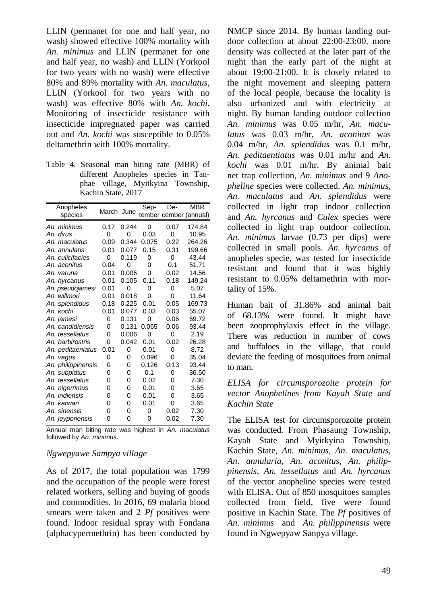LLIN (permanet for one and half year, no wash) showed effective 100% mortality with *An. minimus* and LLIN (permanet for one and half year, no wash) and LLIN (Yorkool for two years with no wash) were effective 80% and 89% mortality with *An. maculatus*, LLIN (Yorkool for two years with no wash) was effective 80% with *An. kochi*. Monitoring of insecticide resistance with insecticide impregnated paper was carried out and *An. kochi* was susceptible to 0.05% deltamethrin with 100% mortality.

Table 4. Seasonal man biting rate (MBR) of different Anopheles species in Tanphae village, Myitkyina Township, Kachin State, 2017

| Anopheles          | March June |       | Sep-  | De-  | <b>MBR</b>             |
|--------------------|------------|-------|-------|------|------------------------|
| species            |            |       |       |      | tember cember (annual) |
| An. minimus        | 0.17       | 0.244 | 0     | 0.07 | 174.84                 |
| An. dirus          | 0          | 0     | 0.03  | 0    | 10.95                  |
| An. maculatus      | 0.09       | 0.344 | 0.075 | 0.22 | 264.26                 |
| An, annularis      | 0.01       | 0.077 | 0.15  | 0.31 | 199.66                 |
| An. culicifacies   | 0          | 0.119 | 0     | 0    | 43.44                  |
| An. aconitus       | 0.04       | 0     | 0     | 0.1  | 51.71                  |
| An. varuna         | 0.01       | 0.006 | 0     | 0.02 | 14.56                  |
| An. hyrcanus       | 0.01       | 0.105 | 0.11  | 0.18 | 149.24                 |
| An. pseudojamesi   | 0.01       | 0     | 0     | 0    | 5.07                   |
| An. willmori       | 0.01       | 0.018 | 0     | 0    | 11.64                  |
| An. splendidus     | 0.18       | 0.225 | 0.01  | 0.05 | 169.73                 |
| An. kochi          | 0.01       | 0.077 | 0.03  | 0.03 | 55.07                  |
| An. jamesi         | 0          | 0.131 | 0     | 0.06 | 69.72                  |
| An. candidiensis   | 0          | 0.131 | 0.065 | 0.06 | 93.44                  |
| An. tessellatus    | 0          | 0.006 | 0     | 0    | 2.19                   |
| An. barbirostris   | 0          | 0.042 | 0.01  | 0.02 | 26.28                  |
| An. peditaeniatus  | 0.01       | 0     | 0.01  | 0    | 8.72                   |
| An. vagus          | 0          | 0     | 0.096 | 0    | 35.04                  |
| An. philippinensis | 0          | 0     | 0.126 | 0.13 | 93.44                  |
| An. subpidtus      | 0          | 0     | 0.1   | 0    | 36.50                  |
| An. tessellatus    | 0          | 0     | 0.02  | 0    | 7.30                   |
| An. nigerrimus     | 0          | 0     | 0.01  | 0    | 3.65                   |
| An. indiensis      | 0          | 0     | 0.01  | 0    | 3.65                   |
| An. karwari        | 0          | 0     | 0.01  | 0    | 3.65                   |
| An. sinensis       | 0          | 0     | 0     | 0.02 | 7.30                   |
| An. jeyporiensis   | 0          | 0     | 0     | 0.02 | 7.30                   |

Annual man biting rate was highest in *An. maculatus* followed by *An. minimus*.

## *Ngwepyawe Sampya village*

As of 2017, the total population was 1799 and the occupation of the people were forest related workers, selling and buying of goods and commodities. In 2016, 69 malaria blood smears were taken and 2 *Pf* positives were found. Indoor residual spray with Fondana (alphacypermethrin) has been conducted by

NMCP since 2014. By human landing outdoor collection at about 22:00-23:00, more density was collected at the later part of the night than the early part of the night at about 19:00-21:00. It is closely related to the night movement and sleeping pattern of the local people, because the locality is also urbanized and with electricity at night. By human landing outdoor collection *An. minimus* was 0.05 m/hr, *An. maculatus* was 0.03 m/hr, *An. aconitus* was 0.04 m/hr, *An. splendidus* was 0.1 m/hr, *An. peditaentiatus* was 0.01 m/hr and *An. kochi* was 0.01 m/hr. By animal bait net trap collection, *An. minimus* and 9 *Anopheline* species were collected. *An. minimus, An. maculatus* and *An. splendidus* were collected in light trap indoor collection and *An. hyrcanus* and *Culex* species were collected in light trap outdoor collection. *An. minimus* larvae (0.73 per dips) were collected in small pools. *An. hyrcanus* of anopheles specie, was tested for insecticide resistant and found that it was highly resistant to 0.05% deltamethrin with mortality of 15%.

Human bait of 31.86% and animal bait of 68.13% were found. It might have been zooprophylaxis effect in the village. There was reduction in number of cows and buffaloes in the village, that could deviate the feeding of mosquitoes from animal to man.

*ELISA for circumsporozoite protein for vector Anophelines from Kayah State and Kachin State*

The ELISA test for circumsporozoite protein was conducted. From Phasaung Township, Kayah State and Myitkyina Township, Kachin State, *An. minimus*, *An. maculatus*, *An. annularia*, *An. aconitus*, *An. philippinensis*, *An. tessellatus* and *An. hyrcanus* of the vector anopheline species were tested with ELISA. Out of 850 mosquitoes samples collected from field, five were found positive in Kachin State. The *Pf* positives of *An. minimus* and *An. philippinensis* were found in Ngwepyaw Sanpya village.